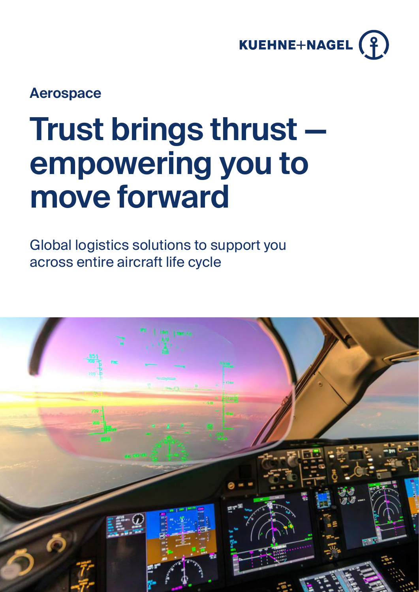

## **Aerospace**

# **Trust brings thrust empowering you to move forward**

Global logistics solutions to support you across entire aircraft life cycle

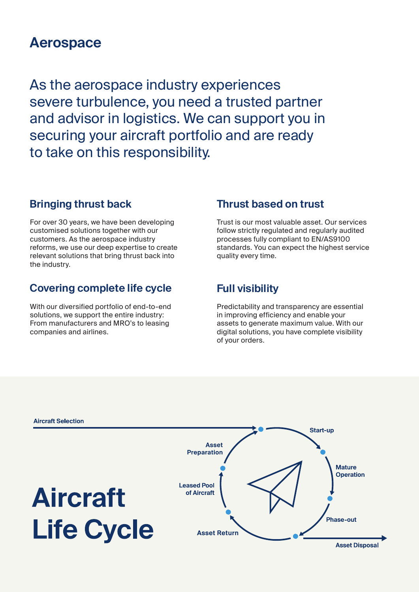### **Aerospace**

As the aerospace industry experiences severe turbulence, you need a trusted partner and advisor in logistics. We can support you in securing your aircraft portfolio and are ready to take on this responsibility.

#### **Bringing thrust back**

For over 30 years, we have been developing customised solutions together with our customers. As the aerospace industry reforms, we use our deep expertise to create relevant solutions that bring thrust back into the industry.

#### **Covering complete life cycle**

With our diversified portfolio of end-to-end solutions, we support the entire industry: From manufacturers and MRO's to leasing companies and airlines.

#### **Thrust based on trust**

Trust is our most valuable asset. Our services follow strictly regulated and regularly audited processes fully compliant to EN/AS9100 standards. You can expect the highest service quality every time.

#### **Full visibility**

Predictability and transparency are essential in improving efficiency and enable your assets to generate maximum value. With our digital solutions, you have complete visibility of your orders.

![](_page_1_Figure_10.jpeg)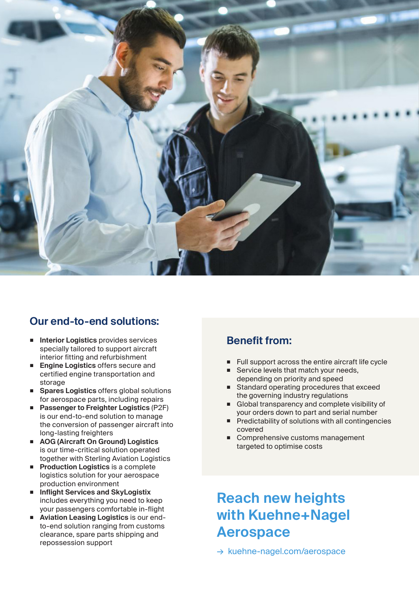![](_page_2_Picture_0.jpeg)

#### **Our end-to-end solutions:**

- **Interior Logistics** provides services specially tailored to support aircraft interior fitting and refurbishment
- **Engine Logistics** offers secure and certified engine transportation and storage
- **Spares Logistics** offers global solutions for aerospace parts, including repairs
- **Passenger to Freighter Logistics** (P2F) is our end-to-end solution to manage the conversion of passenger aircraft into long-lasting freighters
- **AOG (Aircraft On Ground) Logistics** is our time-critical solution operated together with Sterling Aviation Logistics
- **Production Logistics** is a complete logistics solution for your aerospace production environment
- **Inflight Services and SkyLogistix**  includes everything you need to keep your passengers comfortable in-flight
- **Aviation Leasing Logistics** is our endto-end solution ranging from customs clearance, spare parts shipping and repossession support

#### **Benefit from:**

- Full support across the entire aircraft life cycle
- Service levels that match your needs. depending on priority and speed
- Standard operating procedures that exceed the governing industry regulations
- Global transparency and complete visibility of your orders down to part and serial number
- Predictability of solutions with all contingencies covered
- Comprehensive customs management targeted to optimise costs

# **Reach new heights with Kuehne+Nagel Aerospace**

→ kuehne-nagel.com/aerospace